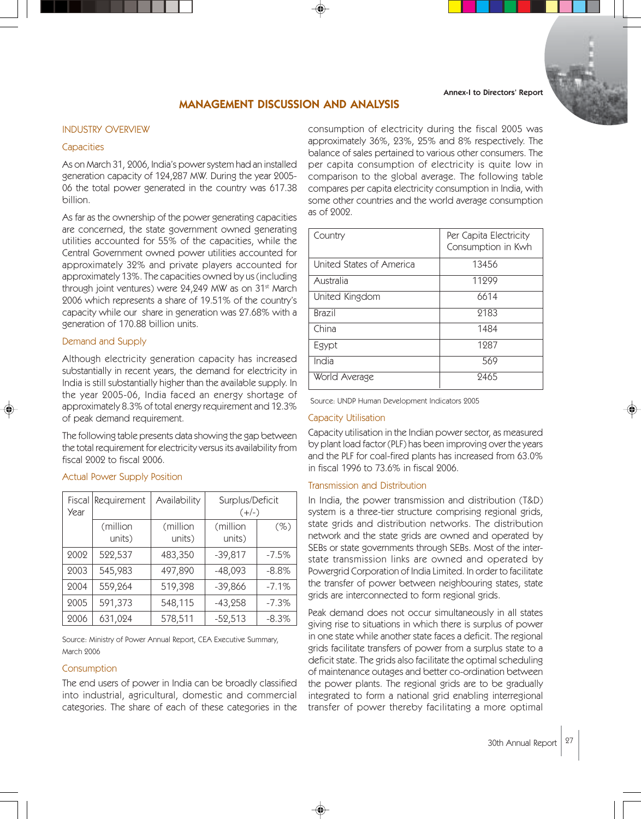#### Annex-I to Directors' Report



# MANAGEMENT DISCUSSION AND ANALYSIS

# INDUSTRY OVERVIEW

#### **Capacities**

As on March 31, 2006, India's power system had an installed generation capacity of 124,287 MW. During the year 2005- 06 the total power generated in the country was 617.38 billion.

As far as the ownership of the power generating capacities are concerned, the state government owned generating utilities accounted for 55% of the capacities, while the Central Government owned power utilities accounted for approximately 32% and private players accounted for approximately 13%. The capacities owned by us (including through joint ventures) were 24,249 MW as on 31st March 2006 which represents a share of 19.51% of the country's capacity while our share in generation was 27.68% with a generation of 170.88 billion units.

# Demand and Supply

Although electricity generation capacity has increased substantially in recent years, the demand for electricity in India is still substantially higher than the available supply. In the year 2005-06, India faced an energy shortage of approximately 8.3% of total energy requirement and 12.3% of peak demand requirement.

The following table presents data showing the gap between the total requirement for electricity versus its availability from fiscal 2002 to fiscal 2006.

#### Actual Power Supply Position

| Fiscal<br>Year | Requirement        | Availability       | Surplus/Deficit<br>$(+/-)$ |         |
|----------------|--------------------|--------------------|----------------------------|---------|
|                | (million<br>units) | (million<br>units) | (million<br>units)         | $(\% )$ |
| 2002           | 522,537            | 483,350            | $-39,817$                  | $-7.5%$ |
| 2003           | 545,983            | 497,890            | $-48,093$                  | $-8.8%$ |
| 2004           | 559,264            | 519,398            | $-39,866$                  | $-7.1%$ |
| 2005           | 591,373            | 548,115            | $-43,258$                  | $-7.3%$ |
| 2006           | 631,024            | 578,511            | $-52,513$                  | $-8.3%$ |

Source: Ministry of Power Annual Report, CEA Executive Summary, March 2006

#### **Consumption**

The end users of power in India can be broadly classified into industrial, agricultural, domestic and commercial categories. The share of each of these categories in the consumption of electricity during the fiscal 2005 was approximately 36%, 23%, 25% and 8% respectively. The balance of sales pertained to various other consumers. The per capita consumption of electricity is quite low in comparison to the global average. The following table compares per capita electricity consumption in India, with some other countries and the world average consumption as of 2002.

| Country                  | Per Capita Electricity<br>Consumption in Kwh |
|--------------------------|----------------------------------------------|
| United States of America | 13456                                        |
| Australia                | 11299                                        |
| United Kingdom           | 6614                                         |
| <b>Brazil</b>            | 9183                                         |
| China                    | 1484                                         |
| Egypt                    | 1287                                         |
| India                    | 569                                          |
| World Average            | 2465                                         |

Source: UNDP Human Development Indicators 2005

## Capacity Utilisation

Capacity utilisation in the Indian power sector, as measured by plant load factor (PLF) has been improving over the years and the PLF for coal-fired plants has increased from 63.0% in fiscal 1996 to 73.6% in fiscal 2006.

#### Transmission and Distribution

In India, the power transmission and distribution (T&D) system is a three-tier structure comprising regional grids, state grids and distribution networks. The distribution network and the state grids are owned and operated by SEBs or state governments through SEBs. Most of the interstate transmission links are owned and operated by Powergrid Corporation of India Limited. In order to facilitate the transfer of power between neighbouring states, state grids are interconnected to form regional grids.

Peak demand does not occur simultaneously in all states giving rise to situations in which there is surplus of power in one state while another state faces a deficit. The regional grids facilitate transfers of power from a surplus state to a deficit state. The grids also facilitate the optimal scheduling of maintenance outages and better co-ordination between the power plants. The regional grids are to be gradually integrated to form a national grid enabling interregional transfer of power thereby facilitating a more optimal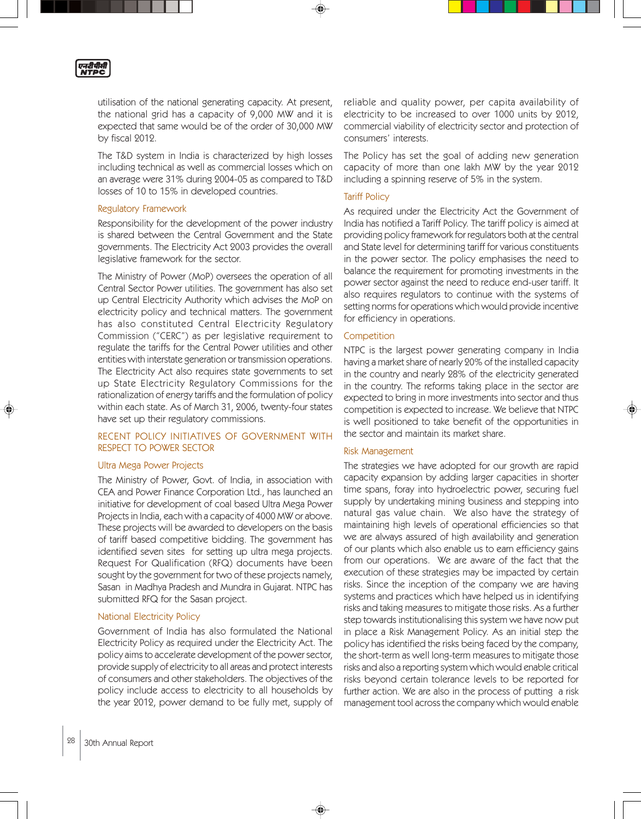

utilisation of the national generating capacity. At present, the national grid has a capacity of 9,000 MW and it is expected that same would be of the order of 30,000 MW by fiscal 2012.

The T&D system in India is characterized by high losses including technical as well as commercial losses which on an average were 31% during 2004-05 as compared to T&D losses of 10 to 15% in developed countries.

#### Regulatory Framework

Responsibility for the development of the power industry is shared between the Central Government and the State governments. The Electricity Act 2003 provides the overall legislative framework for the sector.

The Ministry of Power (MoP) oversees the operation of all Central Sector Power utilities. The government has also set up Central Electricity Authority which advises the MoP on electricity policy and technical matters. The government has also constituted Central Electricity Regulatory Commission ("CERC") as per legislative requirement to regulate the tariffs for the Central Power utilities and other entities with interstate generation or transmission operations. The Electricity Act also requires state governments to set up State Electricity Regulatory Commissions for the rationalization of energy tariffs and the formulation of policy within each state. As of March 31, 2006, twenty-four states have set up their regulatory commissions.

# RECENT POLICY INITIATIVES OF GOVERNMENT WITH RESPECT TO POWER SECTOR

#### Ultra Mega Power Projects

The Ministry of Power, Govt. of India, in association with CEA and Power Finance Corporation Ltd., has launched an initiative for development of coal based Ultra Mega Power Projects in India, each with a capacity of 4000 MW or above. These projects will be awarded to developers on the basis of tariff based competitive bidding. The government has identified seven sites for setting up ultra mega projects. Request For Qualification (RFQ) documents have been sought by the government for two of these projects namely, Sasan in Madhya Pradesh and Mundra in Gujarat. NTPC has submitted RFQ for the Sasan project.

#### National Electricity Policy

Government of India has also formulated the National Electricity Policy as required under the Electricity Act. The policy aims to accelerate development of the power sector, provide supply of electricity to all areas and protect interests of consumers and other stakeholders. The objectives of the policy include access to electricity to all households by the year 2012, power demand to be fully met, supply of reliable and quality power, per capita availability of electricity to be increased to over 1000 units by 2012, commercial viability of electricity sector and protection of consumers' interests.

The Policy has set the goal of adding new generation capacity of more than one lakh MW by the year 2012 including a spinning reserve of 5% in the system.

#### Tariff Policy

As required under the Electricity Act the Government of India has notified a Tariff Policy. The tariff policy is aimed at providing policy framework for regulators both at the central and State level for determining tariff for various constituents in the power sector. The policy emphasises the need to balance the requirement for promoting investments in the power sector against the need to reduce end-user tariff. It also requires regulators to continue with the systems of setting norms for operations which would provide incentive for efficiency in operations.

# **Competition**

NTPC is the largest power generating company in India having a market share of nearly 20% of the installed capacity in the country and nearly 28% of the electricity generated in the country. The reforms taking place in the sector are expected to bring in more investments into sector and thus competition is expected to increase. We believe that NTPC is well positioned to take benefit of the opportunities in the sector and maintain its market share.

## Risk Management

◈

The strategies we have adopted for our growth are rapid capacity expansion by adding larger capacities in shorter time spans, foray into hydroelectric power, securing fuel supply by undertaking mining business and stepping into natural gas value chain. We also have the strategy of maintaining high levels of operational efficiencies so that we are always assured of high availability and generation of our plants which also enable us to earn efficiency gains from our operations. We are aware of the fact that the execution of these strategies may be impacted by certain risks. Since the inception of the company we are having systems and practices which have helped us in identifying risks and taking measures to mitigate those risks. As a further step towards institutionalising this system we have now put in place a Risk Management Policy. As an initial step the policy has identified the risks being faced by the company, the short-term as well long-term measures to mitigate those risks and also a reporting system which would enable critical risks beyond certain tolerance levels to be reported for further action. We are also in the process of putting a risk management tool across the company which would enable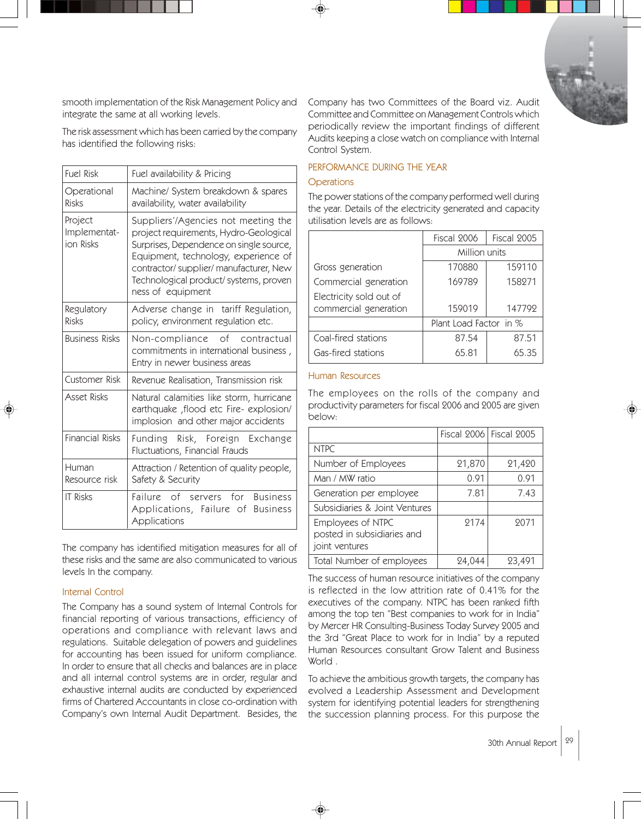

smooth implementation of the Risk Management Policy and integrate the same at all working levels.

The risk assessment which has been carried by the company has identified the following risks:

| <b>Fuel Risk</b>                     | Fuel availability & Pricing                                                                                                                                                                                                                                             |  |  |
|--------------------------------------|-------------------------------------------------------------------------------------------------------------------------------------------------------------------------------------------------------------------------------------------------------------------------|--|--|
| Operational<br><b>Risks</b>          | Machine/ System breakdown & spares<br>availability, water availability                                                                                                                                                                                                  |  |  |
| Project<br>Implementat-<br>ion Risks | Suppliers'/Agencies not meeting the<br>project requirements, Hydro-Geological<br>Surprises, Dependence on single source,<br>Equipment, technology, experience of<br>contractor/supplier/manufacturer, New<br>Technological product/systems, proven<br>ness of equipment |  |  |
| Regulatory<br><b>Risks</b>           | Adverse change in tariff Regulation,<br>policy, environment regulation etc.                                                                                                                                                                                             |  |  |
| <b>Business Risks</b>                | Non-compliance of contractual<br>commitments in international business,<br>Entry in newer business areas                                                                                                                                                                |  |  |
| <b>Customer Risk</b>                 | Revenue Realisation, Transmission risk                                                                                                                                                                                                                                  |  |  |
| Asset Risks                          | Natural calamities like storm, hurricane<br>earthquake, flood etc Fire-explosion/<br>implosion and other major accidents                                                                                                                                                |  |  |
| <b>Financial Risks</b>               | Funding Risk, Foreign Exchange<br>Fluctuations, Financial Frauds                                                                                                                                                                                                        |  |  |
| Human<br>Resource risk               | Attraction / Retention of quality people,<br>Safety & Security                                                                                                                                                                                                          |  |  |
| <b>IT Risks</b>                      | <b>Business</b><br>Failure of servers for<br>Applications, Failure of Business<br>Applications                                                                                                                                                                          |  |  |

The company has identified mitigation measures for all of these risks and the same are also communicated to various levels In the company.

## Internal Control

The Company has a sound system of Internal Controls for financial reporting of various transactions, efficiency of operations and compliance with relevant laws and regulations. Suitable delegation of powers and guidelines for accounting has been issued for uniform compliance. In order to ensure that all checks and balances are in place and all internal control systems are in order, regular and exhaustive internal audits are conducted by experienced firms of Chartered Accountants in close co-ordination with Company's own Internal Audit Department. Besides, the Company has two Committees of the Board viz. Audit Committee and Committee on Management Controls which periodically review the important findings of different Audits keeping a close watch on compliance with Internal Control System.

# PERFORMANCE DURING THE YEAR

#### **Operations**

The power stations of the company performed well during the year. Details of the electricity generated and capacity utilisation levels are as follows:

|                         | Fiscal 2006            | Fiscal 2005 |  |
|-------------------------|------------------------|-------------|--|
|                         | Million units          |             |  |
| Gross generation        | 170880                 | 159110      |  |
| Commercial generation   | 169789                 | 158271      |  |
| Electricity sold out of |                        |             |  |
| commercial generation   | 159019                 | 147792      |  |
|                         | Plant Load Factor in % |             |  |
| Coal-fired stations     | 87.54                  | 87.51       |  |
| Gas-fired stations      | 65.81                  | 65.35       |  |

#### Human Resources

The employees on the rolls of the company and productivity parameters for fiscal 2006 and 2005 are given below:

|                                                                   |        | Fiscal 2006   Fiscal 2005 |
|-------------------------------------------------------------------|--------|---------------------------|
| <b>NTPC</b>                                                       |        |                           |
| Number of Employees                                               | 21,870 | 21,420                    |
| Man / MW ratio                                                    | 0.91   | 0.91                      |
| Generation per employee                                           | 7.81   | 7.43                      |
| Subsidiaries & Joint Ventures                                     |        |                           |
| Employees of NTPC<br>posted in subsidiaries and<br>joint ventures | 2174   | 9071                      |
| Total Number of employees                                         |        | 23,491                    |

The success of human resource initiatives of the company is reflected in the low attrition rate of 0.41% for the executives of the company. NTPC has been ranked fifth among the top ten "Best companies to work for in India" by Mercer HR Consulting-Business Today Survey 2005 and the 3rd "Great Place to work for in India" by a reputed Human Resources consultant Grow Talent and Business World .

To achieve the ambitious growth targets, the company has evolved a Leadership Assessment and Development system for identifying potential leaders for strengthening the succession planning process. For this purpose the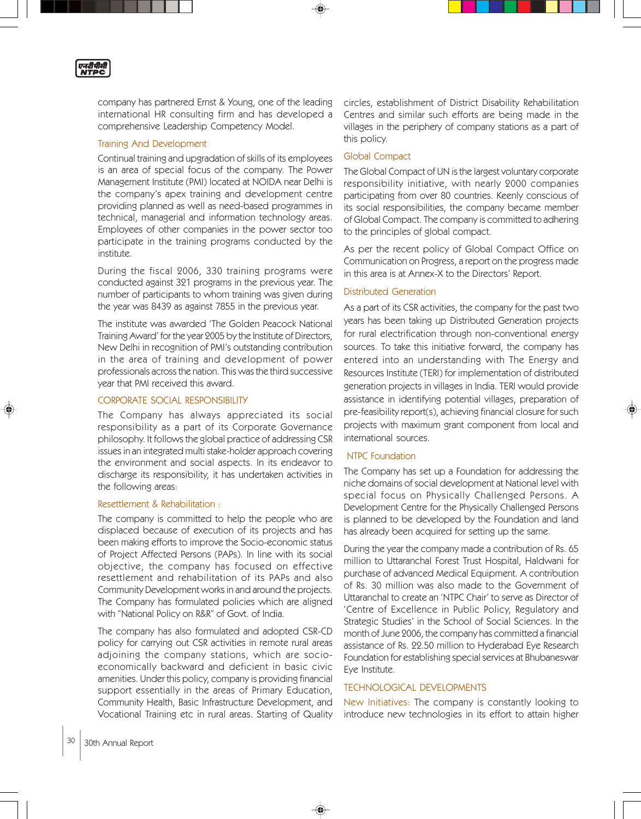

company has partnered Ernst & Young, one of the leading international HR consulting firm and has developed a comprehensive Leadership Competency Model.

# Training And Development

Continual training and upgradation of skills of its employees is an area of special focus of the company. The Power Management Institute (PMI) located at NOIDA near Delhi is the company's apex training and development centre providing planned as well as need-based programmes in technical, managerial and information technology areas. Employees of other companies in the power sector too participate in the training programs conducted by the institute.

During the fiscal 2006, 330 training programs were conducted against 321 programs in the previous year. The number of participants to whom training was given during the year was 8439 as against 7855 in the previous year.

The institute was awarded 'The Golden Peacock National Training Award' for the year 2005 by the Institute of Directors, New Delhi in recognition of PMI's outstanding contribution in the area of training and development of power professionals across the nation. This was the third successive year that PMI received this award.

#### CORPORATE SOCIAL RESPONSIBILITY

The Company has always appreciated its social responsibility as a part of its Corporate Governance philosophy. It follows the global practice of addressing CSR issues in an integrated multi stake-holder approach covering the environment and social aspects. In its endeavor to discharge its responsibility, it has undertaken activities in the following areas:

#### Resettlement & Rehabilitation :

The company is committed to help the people who are displaced because of execution of its projects and has been making efforts to improve the Socio-economic status of Project Affected Persons (PAPs). In line with its social objective, the company has focused on effective resettlement and rehabilitation of its PAPs and also Community Development works in and around the projects. The Company has formulated policies which are aligned with "National Policy on R&R" of Govt. of India.

The company has also formulated and adopted CSR-CD policy for carrying out CSR activities in remote rural areas adjoining the company stations, which are socioeconomically backward and deficient in basic civic amenities. Under this policy, company is providing financial support essentially in the areas of Primary Education, Community Health, Basic Infrastructure Development, and Vocational Training etc in rural areas. Starting of Quality

circles, establishment of District Disability Rehabilitation Centres and similar such efforts are being made in the villages in the periphery of company stations as a part of this policy.

# Global Compact

The Global Compact of UN is the largest voluntary corporate responsibility initiative, with nearly 2000 companies participating from over 80 countries. Keenly conscious of its social responsibilities, the company became member of Global Compact. The company is committed to adhering to the principles of global compact.

As per the recent policy of Global Compact Office on Communication on Progress, a report on the progress made in this area is at Annex-X to the Directors' Report.

#### Distributed Generation

As a part of its CSR activities, the company for the past two years has been taking up Distributed Generation projects for rural electrification through non-conventional energy sources. To take this initiative forward, the company has entered into an understanding with The Energy and Resources Institute (TERI) for implementation of distributed generation projects in villages in India. TERI would provide assistance in identifying potential villages, preparation of pre-feasibility report(s), achieving financial closure for such projects with maximum grant component from local and international sources.

# NTPC Foundation

The Company has set up a Foundation for addressing the niche domains of social development at National level with special focus on Physically Challenged Persons. A Development Centre for the Physically Challenged Persons is planned to be developed by the Foundation and land has already been acquired for setting up the same.

During the year the company made a contribution of Rs. 65 million to Uttaranchal Forest Trust Hospital, Haldwani for purchase of advanced Medical Equipment. A contribution of Rs. 30 million was also made to the Government of Uttaranchal to create an 'NTPC Chair' to serve as Director of 'Centre of Excellence in Public Policy, Regulatory and Strategic Studies' in the School of Social Sciences. In the month of June 2006, the company has committed a financial assistance of Rs. 22.50 million to Hyderabad Eye Research Foundation for establishing special services at Bhubaneswar Eye Institute.

## TECHNOLOGICAL DEVELOPMENTS

◈

New Initiatives: The company is constantly looking to introduce new technologies in its effort to attain higher

30 30th Annual Report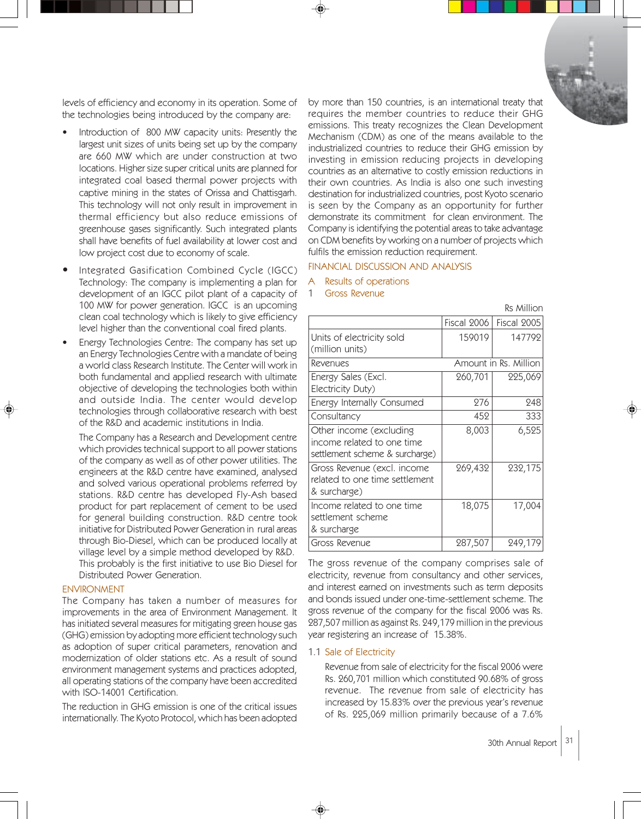levels of efficiency and economy in its operation. Some of the technologies being introduced by the company are:

- Introduction of 800 MW capacity units: Presently the largest unit sizes of units being set up by the company are 660 MW which are under construction at two locations. Higher size super critical units are planned for integrated coal based thermal power projects with captive mining in the states of Orissa and Chattisgarh. This technology will not only result in improvement in thermal efficiency but also reduce emissions of greenhouse gases significantly. Such integrated plants shall have benefits of fuel availability at lower cost and low project cost due to economy of scale.
- Integrated Gasification Combined Cycle (IGCC) Technology: The company is implementing a plan for development of an IGCC pilot plant of a capacity of 100 MW for power generation. IGCC is an upcoming clean coal technology which is likely to give efficiency level higher than the conventional coal fired plants.
- Energy Technologies Centre: The company has set up an Energy Technologies Centre with a mandate of being a world class Research Institute. The Center will work in both fundamental and applied research with ultimate objective of developing the technologies both within and outside India. The center would develop technologies through collaborative research with best of the R&D and academic institutions in India.

The Company has a Research and Development centre which provides technical support to all power stations of the company as well as of other power utilities. The engineers at the R&D centre have examined, analysed and solved various operational problems referred by stations. R&D centre has developed Fly-Ash based product for part replacement of cement to be used for general building construction. R&D centre took initiative for Distributed Power Generation in rural areas through Bio-Diesel, which can be produced locally at village level by a simple method developed by R&D. This probably is the first initiative to use Bio Diesel for Distributed Power Generation.

#### ENVIRONMENT

The Company has taken a number of measures for improvements in the area of Environment Management. It has initiated several measures for mitigating green house gas (GHG) emission by adopting more efficient technology such as adoption of super critical parameters, renovation and modernization of older stations etc. As a result of sound environment management systems and practices adopted, all operating stations of the company have been accredited with ISO-14001 Certification.

The reduction in GHG emission is one of the critical issues internationally. The Kyoto Protocol, which has been adopted by more than 150 countries, is an international treaty that requires the member countries to reduce their GHG emissions. This treaty recognizes the Clean Development Mechanism (CDM) as one of the means available to the industrialized countries to reduce their GHG emission by investing in emission reducing projects in developing countries as an alternative to costly emission reductions in their own countries. As India is also one such investing destination for industrialized countries, post Kyoto scenario is seen by the Company as an opportunity for further demonstrate its commitment for clean environment. The Company is identifying the potential areas to take advantage on CDM benefits by working on a number of projects which fulfils the emission reduction requirement.

#### FINANCIAL DISCUSSION AND ANALYSIS

#### A Results of operations

#### 1 Gross Revenue

Rs Million

|                                | <b>Fiscal 2006</b> | Fiscal 2005           |
|--------------------------------|--------------------|-----------------------|
| Units of electricity sold      | 159019             | 147792                |
| (million units)                |                    |                       |
| Revenues                       |                    | Amount in Rs. Million |
| Energy Sales (Excl.            | 260,701            | 225,069               |
| Electricity Duty)              |                    |                       |
| Energy Internally Consumed     | 276                | 248                   |
| Consultancy                    | 452                | 333                   |
| Other income (excluding        | 8,003              | 6,525                 |
| income related to one time     |                    |                       |
| settlement scheme & surcharge) |                    |                       |
| Gross Revenue (excl. income    | 269,432            | 232,175               |
| related to one time settlement |                    |                       |
| & surcharge)                   |                    |                       |
| Income related to one time     | 18,075             | 17,004                |
| settlement scheme              |                    |                       |
| & surcharge                    |                    |                       |
| Gross Revenue                  | 287,507            | 249,179               |

The gross revenue of the company comprises sale of electricity, revenue from consultancy and other services, and interest earned on investments such as term deposits and bonds issued under one-time-settlement scheme. The gross revenue of the company for the fiscal 2006 was Rs. 287,507 million as against Rs. 249,179 million in the previous year registering an increase of 15.38%.

#### 1.1 Sale of Electricity

♠

Revenue from sale of electricity for the fiscal 2006 were Rs. 260,701 million which constituted 90.68% of gross revenue. The revenue from sale of electricity has increased by 15.83% over the previous year's revenue of Rs. 225,069 million primarily because of a 7.6%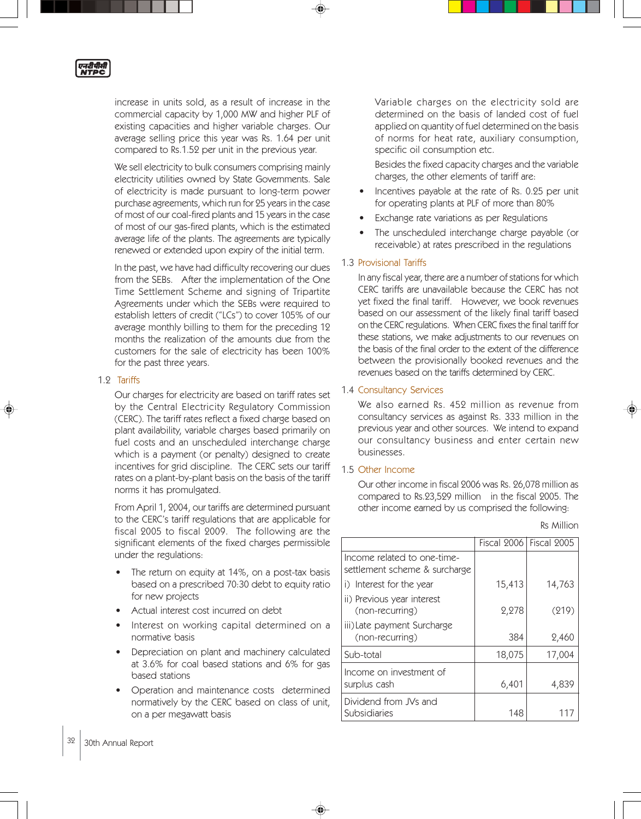

increase in units sold, as a result of increase in the commercial capacity by 1,000 MW and higher PLF of existing capacities and higher variable charges. Our average selling price this year was Rs. 1.64 per unit compared to Rs.1.52 per unit in the previous year.

We sell electricity to bulk consumers comprising mainly electricity utilities owned by State Governments. Sale of electricity is made pursuant to long-term power purchase agreements, which run for 25 years in the case of most of our coal-fired plants and 15 years in the case of most of our gas-fired plants, which is the estimated average life of the plants. The agreements are typically renewed or extended upon expiry of the initial term.

In the past, we have had difficulty recovering our dues from the SEBs. After the implementation of the One Time Settlement Scheme and signing of Tripartite Agreements under which the SEBs were required to establish letters of credit ("LCs") to cover 105% of our average monthly billing to them for the preceding 12 months the realization of the amounts due from the customers for the sale of electricity has been 100% for the past three years.

# 1.2 Tariffs

Our charges for electricity are based on tariff rates set by the Central Electricity Regulatory Commission (CERC). The tariff rates reflect a fixed charge based on plant availability, variable charges based primarily on fuel costs and an unscheduled interchange charge which is a payment (or penalty) designed to create incentives for grid discipline. The CERC sets our tariff rates on a plant-by-plant basis on the basis of the tariff norms it has promulgated.

From April 1, 2004, our tariffs are determined pursuant to the CERC's tariff regulations that are applicable for fiscal 2005 to fiscal 2009. The following are the significant elements of the fixed charges permissible under the regulations:

- The return on equity at 14%, on a post-tax basis based on a prescribed 70:30 debt to equity ratio for new projects
- Actual interest cost incurred on debt
- Interest on working capital determined on a normative basis
- Depreciation on plant and machinery calculated at 3.6% for coal based stations and 6% for gas based stations
- Operation and maintenance costs determined normatively by the CERC based on class of unit, on a per megawatt basis

◈

Variable charges on the electricity sold are determined on the basis of landed cost of fuel applied on quantity of fuel determined on the basis of norms for heat rate, auxiliary consumption, specific oil consumption etc.

Besides the fixed capacity charges and the variable charges, the other elements of tariff are:

- Incentives payable at the rate of Rs. 0.25 per unit for operating plants at PLF of more than 80%
- Exchange rate variations as per Regulations
- The unscheduled interchange charge payable (or receivable) at rates prescribed in the regulations

## 1.3 Provisional Tariffs

In any fiscal year, there are a number of stations for which CERC tariffs are unavailable because the CERC has not yet fixed the final tariff. However, we book revenues based on our assessment of the likely final tariff based on the CERC regulations. When CERC fixes the final tariff for these stations, we make adjustments to our revenues on the basis of the final order to the extent of the difference between the provisionally booked revenues and the revenues based on the tariffs determined by CERC.

## 1.4 Consultancy Services

We also earned Rs. 452 million as revenue from consultancy services as against Rs. 333 million in the previous year and other sources. We intend to expand our consultancy business and enter certain new businesses.

## 1.5 Other Income

Our other income in fiscal 2006 was Rs. 26,078 million as compared to Rs.23,529 million in the fiscal 2005. The other income earned by us comprised the following:

| Rs Million |  |
|------------|--|
|            |  |

|                                                              |        | Fiscal 2006   Fiscal 2005 |
|--------------------------------------------------------------|--------|---------------------------|
| Income related to one-time-<br>settlement scheme & surcharge |        |                           |
| i) Interest for the year                                     | 15,413 | 14,763                    |
| ii) Previous year interest<br>(non-recurring)                | 2,278  | (219)                     |
| iii) Late payment Surcharge<br>(non-recurring)               | 384    | 2,460                     |
| Sub-total                                                    | 18,075 | 17,004                    |
| Income on investment of<br>surplus cash                      | 6,401  | 4,839                     |
| Dividend from JVs and<br><b>Subsidiaries</b>                 | 148    |                           |

32 30th Annual Report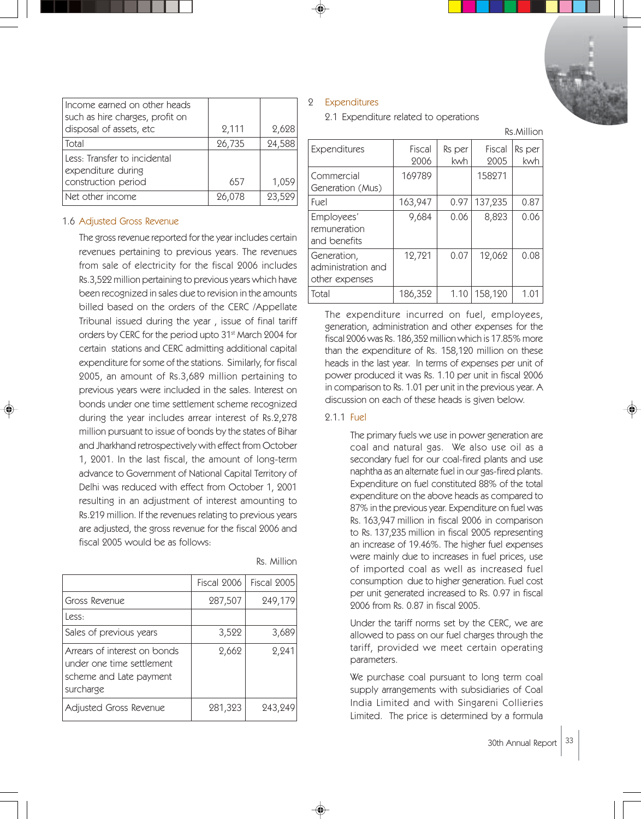

| Income earned on other heads<br>such as hire charges, profit on<br>disposal of assets, etc | 2,111  | 2,628  |
|--------------------------------------------------------------------------------------------|--------|--------|
| Total                                                                                      | 26,735 | 24,588 |
| Less: Transfer to incidental<br>expenditure during<br>construction period                  | 657    | 1,059  |
| Net other income                                                                           | 26,078 | 23,529 |

# 1.6 Adjusted Gross Revenue

The gross revenue reported for the year includes certain revenues pertaining to previous years. The revenues from sale of electricity for the fiscal 2006 includes Rs.3,522 million pertaining to previous years which have been recognized in sales due to revision in the amounts billed based on the orders of the CERC /Appellate Tribunal issued during the year , issue of final tariff orders by CERC for the period upto 31<sup>st</sup> March 2004 for certain stations and CERC admitting additional capital expenditure for some of the stations. Similarly, for fiscal 2005, an amount of Rs.3,689 million pertaining to previous years were included in the sales. Interest on bonds under one time settlement scheme recognized during the year includes arrear interest of Rs.2,278 million pursuant to issue of bonds by the states of Bihar and Jharkhand retrospectively with effect from October 1, 2001. In the last fiscal, the amount of long-term advance to Government of National Capital Territory of Delhi was reduced with effect from October 1, 2001 resulting in an adjustment of interest amounting to Rs.219 million. If the revenues relating to previous years are adjusted, the gross revenue for the fiscal 2006 and fiscal 2005 would be as follows:

|                                                                                                   | Fiscal 2006 | Fiscal 2005 |
|---------------------------------------------------------------------------------------------------|-------------|-------------|
| Gross Revenue                                                                                     | 287,507     | 249,179     |
| Less:                                                                                             |             |             |
| Sales of previous years                                                                           | 3,522       | 3,689       |
| Arrears of interest on bonds<br>under one time settlement<br>scheme and Late payment<br>surcharge | 2,662       | 2,241       |
| Adjusted Gross Revenue                                                                            | 281,323     | 243,249     |

Rs. Million

#### 2 Expenditures

2.1 Expenditure related to operations

Rs.Million

| Expenditures                                        | Fiscal<br>2006 | Rs per<br>kwh | Fiscal<br>2005 | Rs per<br>kwh |
|-----------------------------------------------------|----------------|---------------|----------------|---------------|
| Commercial<br>Generation (Mus)                      | 169789         |               | 158271         |               |
| Fuel                                                | 163,947        | 0.97          | 137,235        | 0.87          |
| Employees'<br>remuneration<br>and benefits          | 9,684          | 0.06          | 8,823          | 0.06          |
| Generation,<br>administration and<br>other expenses | 12,721         | 0.07          | 12,062         | 0.08          |
| Total                                               | 186,352        | 1.10          | 158,120        | 1.01          |

The expenditure incurred on fuel, employees, generation, administration and other expenses for the fiscal 2006 was Rs. 186,352 million which is 17.85% more than the expenditure of Rs. 158,120 million on these heads in the last year. In terms of expenses per unit of power produced it was Rs. 1.10 per unit in fiscal 2006 in comparison to Rs. 1.01 per unit in the previous year. A discussion on each of these heads is given below.

## 2.1.1 Fuel

The primary fuels we use in power generation are coal and natural gas. We also use oil as a secondary fuel for our coal-fired plants and use naphtha as an alternate fuel in our gas-fired plants. Expenditure on fuel constituted 88% of the total expenditure on the above heads as compared to 87% in the previous year. Expenditure on fuel was Rs. 163,947 million in fiscal 2006 in comparison to Rs. 137,235 million in fiscal 2005 representing an increase of 19.46%. The higher fuel expenses were mainly due to increases in fuel prices, use of imported coal as well as increased fuel consumption due to higher generation. Fuel cost per unit generated increased to Rs. 0.97 in fiscal 2006 from Rs. 0.87 in fiscal 2005.

Under the tariff norms set by the CERC, we are allowed to pass on our fuel charges through the tariff, provided we meet certain operating parameters.

We purchase coal pursuant to long term coal supply arrangements with subsidiaries of Coal India Limited and with Singareni Collieries Limited. The price is determined by a formula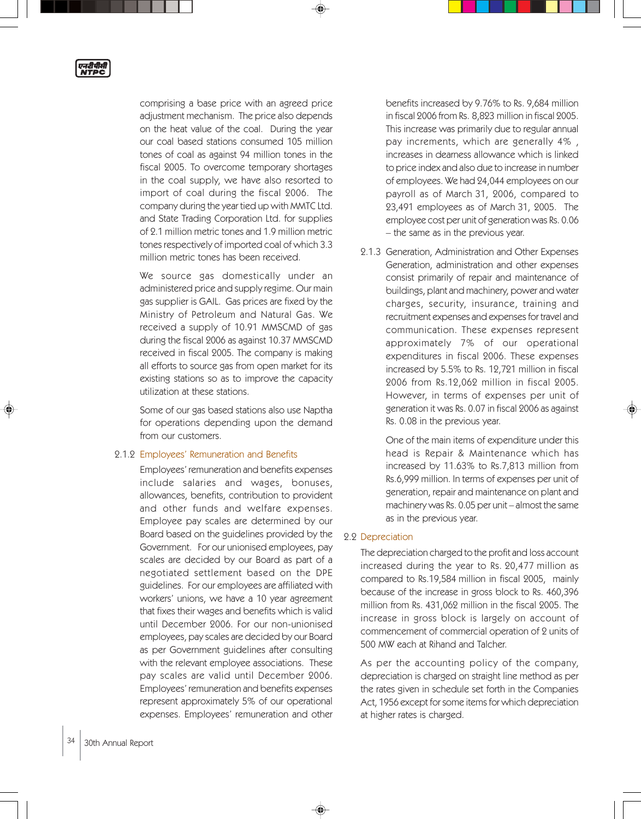

comprising a base price with an agreed price adjustment mechanism. The price also depends on the heat value of the coal. During the year our coal based stations consumed 105 million tones of coal as against 94 million tones in the fiscal 2005. To overcome temporary shortages in the coal supply, we have also resorted to import of coal during the fiscal 2006. The company during the year tied up with MMTC Ltd. and State Trading Corporation Ltd. for supplies of 2.1 million metric tones and 1.9 million metric tones respectively of imported coal of which 3.3 million metric tones has been received.

We source gas domestically under an administered price and supply regime. Our main gas supplier is GAIL. Gas prices are fixed by the Ministry of Petroleum and Natural Gas. We received a supply of 10.91 MMSCMD of gas during the fiscal 2006 as against 10.37 MMSCMD received in fiscal 2005. The company is making all efforts to source gas from open market for its existing stations so as to improve the capacity utilization at these stations.

Some of our gas based stations also use Naptha for operations depending upon the demand from our customers.

#### 2.1.2 Employees' Remuneration and Benefits

Employees' remuneration and benefits expenses include salaries and wages, bonuses, allowances, benefits, contribution to provident and other funds and welfare expenses. Employee pay scales are determined by our Board based on the guidelines provided by the Government. For our unionised employees, pay scales are decided by our Board as part of a negotiated settlement based on the DPE guidelines. For our employees are affiliated with workers' unions, we have a 10 year agreement that fixes their wages and benefits which is valid until December 2006. For our non-unionised employees, pay scales are decided by our Board as per Government guidelines after consulting with the relevant employee associations. These pay scales are valid until December 2006. Employees' remuneration and benefits expenses represent approximately 5% of our operational expenses. Employees' remuneration and other

benefits increased by 9.76% to Rs. 9,684 million in fiscal 2006 from Rs. 8,823 million in fiscal 2005. This increase was primarily due to regular annual pay increments, which are generally 4% , increases in dearness allowance which is linked to price index and also due to increase in number of employees. We had 24,044 employees on our payroll as of March 31, 2006, compared to 23,491 employees as of March 31, 2005. The employee cost per unit of generation was Rs. 0.06 – the same as in the previous year.

2.1.3 Generation, Administration and Other Expenses Generation, administration and other expenses consist primarily of repair and maintenance of buildings, plant and machinery, power and water charges, security, insurance, training and recruitment expenses and expenses for travel and communication. These expenses represent approximately 7% of our operational expenditures in fiscal 2006. These expenses increased by 5.5% to Rs. 12,721 million in fiscal 2006 from Rs.12,062 million in fiscal 2005. However, in terms of expenses per unit of generation it was Rs. 0.07 in fiscal 2006 as against Rs. 0.08 in the previous year.

> One of the main items of expenditure under this head is Repair & Maintenance which has increased by 11.63% to Rs.7,813 million from Rs.6,999 million. In terms of expenses per unit of generation, repair and maintenance on plant and machinery was Rs. 0.05 per unit – almost the same as in the previous year.

# 2.2 Depreciation

◈

The depreciation charged to the profit and loss account increased during the year to Rs. 20,477 million as compared to Rs.19,584 million in fiscal 2005, mainly because of the increase in gross block to Rs. 460,396 million from Rs. 431,062 million in the fiscal 2005. The increase in gross block is largely on account of commencement of commercial operation of 2 units of 500 MW each at Rihand and Talcher.

As per the accounting policy of the company, depreciation is charged on straight line method as per the rates given in schedule set forth in the Companies Act, 1956 except for some items for which depreciation at higher rates is charged.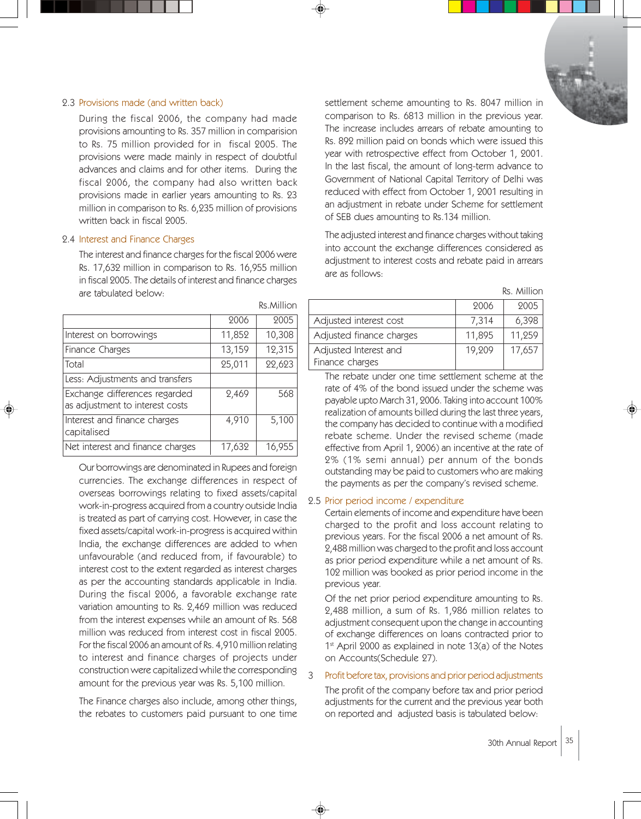## 2.3 Provisions made (and written back)

During the fiscal 2006, the company had made provisions amounting to Rs. 357 million in comparision to Rs. 75 million provided for in fiscal 2005. The provisions were made mainly in respect of doubtful advances and claims and for other items. During the fiscal 2006, the company had also written back provisions made in earlier years amounting to Rs. 23 million in comparison to Rs. 6,235 million of provisions written back in fiscal 2005.

#### 2.4 Interest and Finance Charges

The interest and finance charges for the fiscal 2006 were Rs. 17,632 million in comparison to Rs. 16,955 million in fiscal 2005. The details of interest and finance charges are tabulated below:

|                                                                  |        | Rs.Million |
|------------------------------------------------------------------|--------|------------|
|                                                                  | 2006   | 2005       |
| Interest on borrowings                                           | 11,852 | 10,308     |
| Finance Charges                                                  | 13,159 | 12,315     |
| Total                                                            | 25,011 | 22,623     |
| Less: Adjustments and transfers                                  |        |            |
| Exchange differences regarded<br>as adjustment to interest costs | 2,469  | 568        |
| Interest and finance charges<br>capitalised                      | 4,910  | 5,100      |
| Net interest and finance charges                                 | 17,632 | 16,955     |

Our borrowings are denominated in Rupees and foreign currencies. The exchange differences in respect of overseas borrowings relating to fixed assets/capital work-in-progress acquired from a country outside India is treated as part of carrying cost. However, in case the fixed assets/capital work-in-progress is acquired within India, the exchange differences are added to when unfavourable (and reduced from, if favourable) to interest cost to the extent regarded as interest charges as per the accounting standards applicable in India. During the fiscal 2006, a favorable exchange rate variation amounting to Rs. 2,469 million was reduced from the interest expenses while an amount of Rs. 568 million was reduced from interest cost in fiscal 2005. For the fiscal 2006 an amount of Rs. 4,910 million relating to interest and finance charges of projects under construction were capitalized while the corresponding amount for the previous year was Rs. 5,100 million.

The Finance charges also include, among other things, the rebates to customers paid pursuant to one time settlement scheme amounting to Rs. 8047 million in comparison to Rs. 6813 million in the previous year. The increase includes arrears of rebate amounting to Rs. 892 million paid on bonds which were issued this year with retrospective effect from October 1, 2001. In the last fiscal, the amount of long-term advance to Government of National Capital Territory of Delhi was reduced with effect from October 1, 2001 resulting in an adjustment in rebate under Scheme for settlement of SEB dues amounting to Rs.134 million.

The adjusted interest and finance charges without taking into account the exchange differences considered as adjustment to interest costs and rebate paid in arrears are as follows:

| Rs. Million |  |
|-------------|--|
|             |  |
|             |  |

|                                          | 2006   | 2005   |
|------------------------------------------|--------|--------|
| Adjusted interest cost                   | 7,314  | 6,398  |
| Adjusted finance charges                 | 11,895 | 11,259 |
| Adjusted Interest and<br>Finance charges | 19.209 | 17,657 |

The rebate under one time settlement scheme at the rate of 4% of the bond issued under the scheme was payable upto March 31, 2006. Taking into account 100% realization of amounts billed during the last three years, the company has decided to continue with a modified rebate scheme. Under the revised scheme (made effective from April 1, 2006) an incentive at the rate of 2% (1% semi annual) per annum of the bonds outstanding may be paid to customers who are making the payments as per the company's revised scheme.

#### 2.5 Prior period income / expenditure

Certain elements of income and expenditure have been charged to the profit and loss account relating to previous years. For the fiscal 2006 a net amount of Rs. 2,488 million was charged to the profit and loss account as prior period expenditure while a net amount of Rs. 102 million was booked as prior period income in the previous year.

Of the net prior period expenditure amounting to Rs. 2,488 million, a sum of Rs. 1,986 million relates to adjustment consequent upon the change in accounting of exchange differences on loans contracted prior to  $1<sup>st</sup>$  April 2000 as explained in note 13(a) of the Notes on Accounts(Schedule 27).

# 3 Profit before tax, provisions and prior period adjustments

The profit of the company before tax and prior period adjustments for the current and the previous year both on reported and adjusted basis is tabulated below: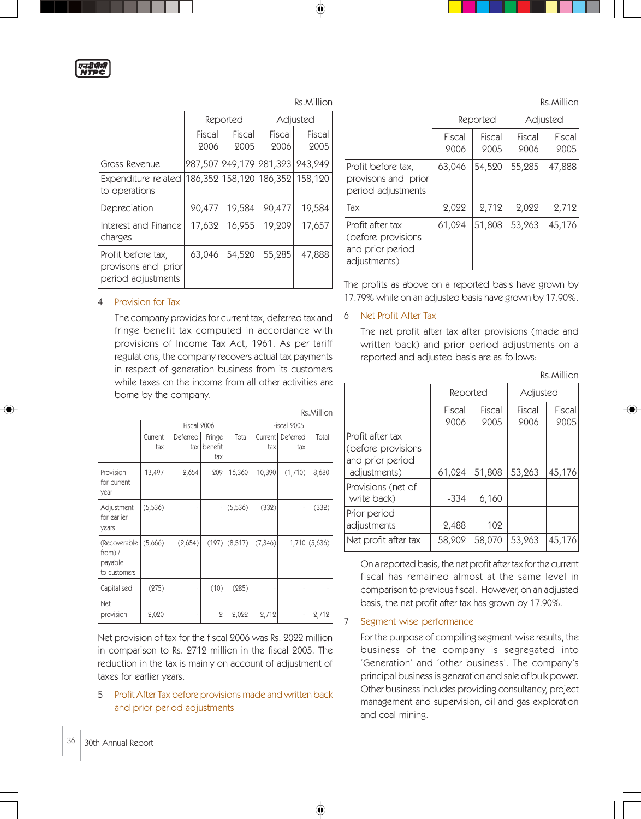Rs.Million

Rs.Million

|                                                                 |                 | Reported       |                                 | Adjusted       |
|-----------------------------------------------------------------|-----------------|----------------|---------------------------------|----------------|
|                                                                 | Fiscall<br>2006 | Fiscal<br>2005 | Fiscal<br>2006                  | Fiscal<br>2005 |
| Gross Revenue                                                   |                 |                | 287,507 249,179 281,323 243,249 |                |
| Expenditure related<br>to operations                            |                 |                | 186,352 158,120 186,352 158,120 |                |
| Depreciation                                                    | 20,477          | 19,584         | 20,477                          | 19,584         |
| Interest and Finance<br>charges                                 | 17,632          | 16,955         | 19,209                          | 17,657         |
| Profit before tax,<br>provisons and prior<br>period adjustments | 63,046          | 54,520         | 55,285                          | 47,888         |

## 4 Provision for Tax

The company provides for current tax, deferred tax and fringe benefit tax computed in accordance with provisions of Income Tax Act, 1961. As per tariff regulations, the company recovers actual tax payments in respect of generation business from its customers while taxes on the income from all other activities are borne by the company.

|                                                      |                | Fiscal 2006       |                          | Fiscal 2005 |                |                 |              |
|------------------------------------------------------|----------------|-------------------|--------------------------|-------------|----------------|-----------------|--------------|
|                                                      | Current<br>tax | Deferred<br>tax I | Fringe<br>benefit<br>tax | Total       | Current<br>tax | Deferred<br>tax | Total        |
| Provision<br>for current<br>year                     | 13,497         | 2,654             | 209                      | 16,360      | 10,390         | (1,710)         | 8,680        |
| Adjustment<br>for earlier<br>years                   | (5, 536)       |                   |                          | (5, 536)    | (332)          |                 | (332)        |
| (Recoverable<br>from) $/$<br>payable<br>to customers | (5,666)        | (2,654)           | (197)                    | (8,517)     | (7, 346)       |                 | 1,710(5,636) |
| Capitalised                                          | (275)          |                   | (10)                     | (285)       |                |                 |              |
| Net<br>provision                                     | 2,020          |                   | $\mathbf{Q}$             | 2,022       | 2,712          |                 | 2,712        |

Net provision of tax for the fiscal 2006 was Rs. 2022 million in comparison to Rs. 2712 million in the fiscal 2005. The reduction in the tax is mainly on account of adjustment of taxes for earlier years.

5 Profit After Tax before provisions made and written back and prior period adjustments

|                                                                            | Reported       |                | Adjusted       |                |
|----------------------------------------------------------------------------|----------------|----------------|----------------|----------------|
|                                                                            | Fiscal<br>2006 | Fiscal<br>2005 | Fiscal<br>2006 | Fiscal<br>2005 |
| Profit before tax,<br>provisons and prior<br>period adjustments            | 63,046         | 54,520         | 55,285         | 47,888         |
| Tax                                                                        | 2,022          | 2,712          | 2,022          | 2,712          |
| Profit after tax<br>(before provisions<br>and prior period<br>adjustments) | 61,024         | 51,808         | 53,263         | 45,176         |

The profits as above on a reported basis have grown by 17.79% while on an adjusted basis have grown by 17.90%.

## 6 Net Profit After Tax

The net profit after tax after provisions (made and written back) and prior period adjustments on a reported and adjusted basis are as follows:

Rs.Million

|                                                                            | Reported       |                | Adjusted       |                |
|----------------------------------------------------------------------------|----------------|----------------|----------------|----------------|
|                                                                            | Fiscal<br>2006 | Fiscal<br>2005 | Fiscal<br>2006 | Fiscal<br>2005 |
| Profit after tax<br>(before provisions<br>and prior period<br>adjustments) | 61,024         | 51,808         | 53,263         | 45,176         |
| Provisions (net of<br>write back)                                          | $-334$         | 6,160          |                |                |
| Prior period<br>adjustments                                                | $-2,488$       | 102            |                |                |
| Net profit after tax                                                       | 58,202         | 58,070         | 53,263         | 45,176         |

On a reported basis, the net profit after tax for the current fiscal has remained almost at the same level in comparison to previous fiscal. However, on an adjusted basis, the net profit after tax has grown by 17.90%.

# 7 Segment-wise performance

For the purpose of compiling segment-wise results, the business of the company is segregated into 'Generation' and 'other business'. The company's principal business is generation and sale of bulk power. Other business includes providing consultancy, project management and supervision, oil and gas exploration and coal mining.

36 30th Annual Report

Rs.Million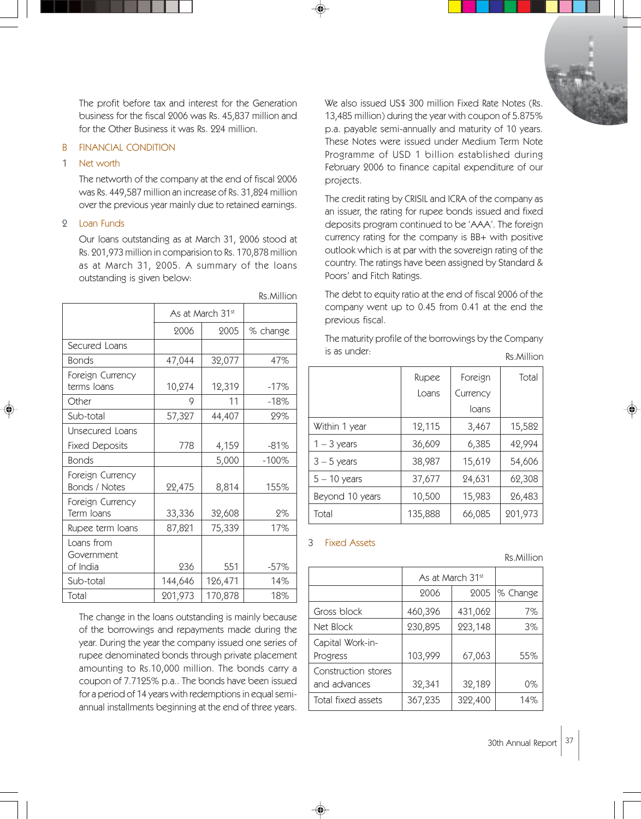The profit before tax and interest for the Generation business for the fiscal 2006 was Rs. 45,837 million and for the Other Business it was Rs. 224 million.

# B FINANCIAL CONDITION

# 1 Net worth

The networth of the company at the end of fiscal 2006 was Rs. 449,587 million an increase of Rs. 31,824 million over the previous year mainly due to retained earnings.

## 2 Loan Funds

Our loans outstanding as at March 31, 2006 stood at Rs. 201,973 million in comparision to Rs. 170,878 million as at March 31, 2005. A summary of the loans outstanding is given below:

Rs.Million

| KS./VIIIIUI I                        |         |                  |          |  |  |
|--------------------------------------|---------|------------------|----------|--|--|
|                                      |         | As at March 31st |          |  |  |
|                                      | 2006    | 2005             | % change |  |  |
| Secured Loans                        |         |                  |          |  |  |
| <b>Bonds</b>                         | 47,044  | 32,077           | 47%      |  |  |
| Foreign Currency<br>terms loans      | 10,274  | 12,319           | $-17%$   |  |  |
| Other                                | 9       | 11               | $-18%$   |  |  |
| Sub-total                            | 57,327  | 44,407           | 29%      |  |  |
| Unsecured Loans                      |         |                  |          |  |  |
| <b>Fixed Deposits</b>                | 778     | 4,159            | $-81%$   |  |  |
| <b>Bonds</b>                         |         | 5,000            | $-100%$  |  |  |
| Foreign Currency<br>Bonds / Notes    | 22,475  | 8,814            | 155%     |  |  |
| Foreign Currency<br>Term Ioans       | 33,336  | 32,608           | 2%       |  |  |
| Rupee term loans                     | 87,821  | 75,339           | 17%      |  |  |
| Loans from<br>Government<br>of India | 236     | 551              | $-57\%$  |  |  |
| Sub-total                            | 144,646 | 126,471          | 14%      |  |  |
| Total                                | 201,973 | 170,878          | 18%      |  |  |

The change in the loans outstanding is mainly because of the borrowings and repayments made during the year. During the year the company issued one series of rupee denominated bonds through private placement amounting to Rs.10,000 million. The bonds carry a coupon of 7.7125% p.a.. The bonds have been issued for a period of 14 years with redemptions in equal semiannual installments beginning at the end of three years.

We also issued US\$ 300 million Fixed Rate Notes (Rs. 13,485 million) during the year with coupon of 5.875% p.a. payable semi-annually and maturity of 10 years. These Notes were issued under Medium Term Note Programme of USD 1 billion established during February 2006 to finance capital expenditure of our projects.

The credit rating by CRISIL and ICRA of the company as an issuer, the rating for rupee bonds issued and fixed deposits program continued to be 'AAA'. The foreign currency rating for the company is BB+ with positive outlook which is at par with the sovereign rating of the country. The ratings have been assigned by Standard & Poors' and Fitch Ratings.

The debt to equity ratio at the end of fiscal 2006 of the company went up to 0.45 from 0.41 at the end the previous fiscal.

The maturity profile of the borrowings by the Company is as under: Rs.Million

|                 | Rupee   | Foreign  | Total   |
|-----------------|---------|----------|---------|
|                 | Loans   | Currency |         |
|                 |         | loans    |         |
| Within 1 year   | 12,115  | 3,467    | 15,582  |
| $1 - 3$ years   | 36,609  | 6,385    | 42,994  |
| $3 - 5$ years   | 38,987  | 15,619   | 54,606  |
| $5 - 10$ years  | 37,677  | 24,631   | 62,308  |
| Beyond 10 years | 10,500  | 15,983   | 26,483  |
| Total           | 135,888 | 66,085   | 201,973 |

# 3 Fixed Assets

Construction stores

# Rs.Million As at March 31st 2006 2005 \% Change Gross block  $|460,396|431,062|7\%$ Net Block 230,895 223,148 3% Capital Work-in-Progress  $|103,999|$  67,063 55%

and advances  $\begin{array}{|c|c|c|c|c|} \hline 32,341 & 32,189 & \text{0\%} \ \hline \end{array}$ Total fixed assets | 367,235 | 322,400 | 14%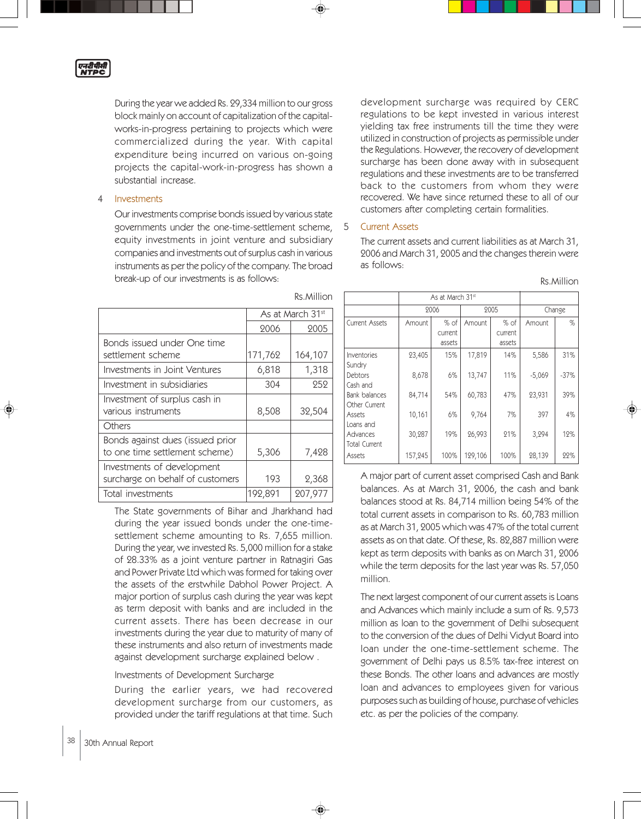

During the year we added Rs. 29,334 million to our gross block mainly on account of capitalization of the capitalworks-in-progress pertaining to projects which were commercialized during the year. With capital expenditure being incurred on various on-going projects the capital-work-in-progress has shown a substantial increase.

4 Investments

Our investments comprise bonds issued by various state governments under the one-time-settlement scheme, equity investments in joint venture and subsidiary companies and investments out of surplus cash in various instruments as per the policy of the company. The broad break-up of our investments is as follows:

development surcharge was required by CERC regulations to be kept invested in various interest yielding tax free instruments till the time they were utilized in construction of projects as permissible under the Regulations. However, the recovery of development surcharge has been done away with in subsequent regulations and these investments are to be transferred back to the customers from whom they were recovered. We have since returned these to all of our customers after completing certain formalities.

# 5 Current Assets

Rs.Million

◈

The current assets and current liabilities as at March 31, 2006 and March 31, 2005 and the changes therein were as follows:

Rs.Million

|                                                                    |         | As at March 31st |
|--------------------------------------------------------------------|---------|------------------|
|                                                                    | 2006    | 2005             |
| Bonds issued under One time<br>settlement scheme                   | 171,762 | 164,107          |
| Investments in Joint Ventures                                      | 6,818   | 1,318            |
| Investment in subsidiaries                                         | 304     | 252              |
| Investment of surplus cash in<br>various instruments               | 8,508   | 32,504           |
| Others                                                             |         |                  |
| Bonds against dues (issued prior<br>to one time settlement scheme) | 5,306   | 7,428            |
| Investments of development<br>surcharge on behalf of customers     | 193     | 2,368            |
| Total investments                                                  | 192,891 | 207,977          |

The State governments of Bihar and Jharkhand had during the year issued bonds under the one-timesettlement scheme amounting to Rs. 7,655 million. During the year, we invested Rs. 5,000 million for a stake of 28.33% as a joint venture partner in Ratnagiri Gas and Power Private Ltd which was formed for taking over the assets of the erstwhile Dabhol Power Project. A major portion of surplus cash during the year was kept as term deposit with banks and are included in the current assets. There has been decrease in our investments during the year due to maturity of many of these instruments and also return of investments made against development surcharge explained below .

Investments of Development Surcharge

During the earlier years, we had recovered development surcharge from our customers, as provided under the tariff regulations at that time. Such

|                       | As at March 31st |         |         |         |          |        |
|-----------------------|------------------|---------|---------|---------|----------|--------|
|                       |                  | 2006    |         | 2005    |          | Change |
| <b>Current Assets</b> | Amount           | $%$ of  | Amount  | % of    | Amount   | %      |
|                       |                  | current |         | current |          |        |
|                       |                  | assets  |         | assets  |          |        |
| Inventories           | 23,405           | 15%     | 17,819  | 14%     | 5,586    | 31%    |
| Sundry                |                  |         |         |         |          |        |
| <b>Debtors</b>        | 8,678            | 6%      | 13,747  | 11%     | $-5,069$ | $-37%$ |
| Cash and              |                  |         |         |         |          |        |
| Bank balances         | 84,714           | 54%     | 60,783  | 47%     | 23,931   | 39%    |
| Other Current         |                  |         |         |         |          |        |
| Assets                | 10,161           | 6%      | 9,764   | 7%      | 397      | 4%     |
| Loans and             |                  |         |         |         |          |        |
| Advances              | 30,287           | 19%     | 26,993  | 21%     | 3,294    | 12%    |
| <b>Total Current</b>  |                  |         |         |         |          |        |
| Assets                | 157,245          | 100%    | 129,106 | 100%    | 28,139   | 22%    |

A major part of current asset comprised Cash and Bank balances. As at March 31, 2006, the cash and bank balances stood at Rs. 84,714 million being 54% of the total current assets in comparison to Rs. 60,783 million as at March 31, 2005 which was 47% of the total current assets as on that date. Of these, Rs. 82,887 million were kept as term deposits with banks as on March 31, 2006 while the term deposits for the last year was Rs. 57,050 million.

The next largest component of our current assets is Loans and Advances which mainly include a sum of Rs. 9,573 million as loan to the government of Delhi subsequent to the conversion of the dues of Delhi Vidyut Board into loan under the one-time-settlement scheme. The government of Delhi pays us 8.5% tax-free interest on these Bonds. The other loans and advances are mostly loan and advances to employees given for various purposes such as building of house, purchase of vehicles etc. as per the policies of the company.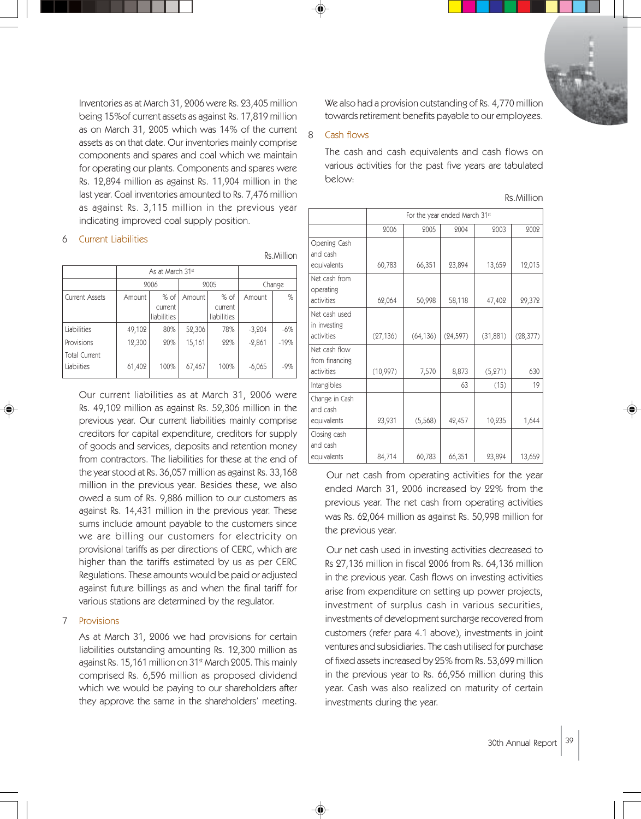Inventories as at March 31, 2006 were Rs. 23,405 million being 15%of current assets as against Rs. 17,819 million as on March 31, 2005 which was 14% of the current assets as on that date. Our inventories mainly comprise components and spares and coal which we maintain for operating our plants. Components and spares were Rs. 12,894 million as against Rs. 11,904 million in the last year. Coal inventories amounted to Rs. 7,476 million as against Rs. 3,115 million in the previous year indicating improved coal supply position.

#### 6 Current Liabilities

|                                    |        | As at March 31 <sup>st</sup> |        |                        |          |        |
|------------------------------------|--------|------------------------------|--------|------------------------|----------|--------|
|                                    |        | 2006                         |        | 2005                   |          | Change |
| Current Assets                     | Amount | % of                         | Amount | % of                   | Amount   | %      |
|                                    |        | current<br>liabilities       |        | current<br>liabilities |          |        |
| Liabilities                        | 49,102 | 80%                          | 52,306 | 78%                    | $-3,204$ | $-6%$  |
| Provisions                         | 12,300 | 20%                          | 15,161 | 22%                    | $-2,861$ | $-19%$ |
| <b>Total Current</b><br>Liabiities | 61,402 | 100%                         | 67,467 | 100%                   | $-6,065$ | $-9%$  |

Our current liabilities as at March 31, 2006 were Rs. 49,102 million as against Rs. 52,306 million in the previous year. Our current liabilities mainly comprise creditors for capital expenditure, creditors for supply of goods and services, deposits and retention money from contractors. The liabilities for these at the end of the year stood at Rs. 36,057 million as against Rs. 33,168 million in the previous year. Besides these, we also owed a sum of Rs. 9,886 million to our customers as against Rs. 14,431 million in the previous year. These sums include amount payable to the customers since we are billing our customers for electricity on provisional tariffs as per directions of CERC, which are higher than the tariffs estimated by us as per CERC Regulations. These amounts would be paid or adjusted against future billings as and when the final tariff for various stations are determined by the regulator.

# 7 Provisions

As at March 31, 2006 we had provisions for certain liabilities outstanding amounting Rs. 12,300 million as against Rs. 15,161 million on 31<sup>st</sup> March 2005. This mainly comprised Rs. 6,596 million as proposed dividend which we would be paying to our shareholders after they approve the same in the shareholders' meeting.

We also had a provision outstanding of Rs. 4,770 million towards retirement benefits payable to our employees.

# 8 Cash flows

Rs.Million

The cash and cash equivalents and cash flows on various activities for the past five years are tabulated below:

| Rs.Million |  |
|------------|--|
|            |  |

|                                               | For the year ended March 31st |           |           |           |           |
|-----------------------------------------------|-------------------------------|-----------|-----------|-----------|-----------|
|                                               | 2006                          | 2005      | 2004      | 2003      | 2002      |
| Opening Cash<br>and cash<br>equivalents       | 60,783                        | 66,351    | 23,894    | 13,659    | 12,015    |
| Net cash from<br>operating<br>activities      | 62,064                        | 50,998    | 58,118    | 47,402    | 29,372    |
| Net cash used<br>in investing<br>activities   | (27, 136)                     | (64, 136) | (24, 597) | (31, 881) | (28, 377) |
| Net cash flow<br>from financing<br>activities | (10, 997)                     | 7,570     | 8,873     | (5, 271)  | 630       |
| Intangibles                                   |                               |           | 63        | (15)      | 19        |
| Change in Cash<br>and cash<br>equivalents     | 23,931                        | (5,568)   | 42,457    | 10,235    | 1,644     |
| Closing cash<br>and cash<br>equivalents       | 84,714                        | 60,783    | 66,351    | 23,894    | 13,659    |

Our net cash from operating activities for the year ended March 31, 2006 increased by 22% from the previous year. The net cash from operating activities was Rs. 62,064 million as against Rs. 50,998 million for the previous year.

Our net cash used in investing activities decreased to Rs 27,136 million in fiscal 2006 from Rs. 64,136 million in the previous year. Cash flows on investing activities arise from expenditure on setting up power projects, investment of surplus cash in various securities, investments of development surcharge recovered from customers (refer para 4.1 above), investments in joint ventures and subsidiaries. The cash utilised for purchase of fixed assets increased by 25% from Rs. 53,699 million in the previous year to Rs. 66,956 million during this year. Cash was also realized on maturity of certain investments during the year.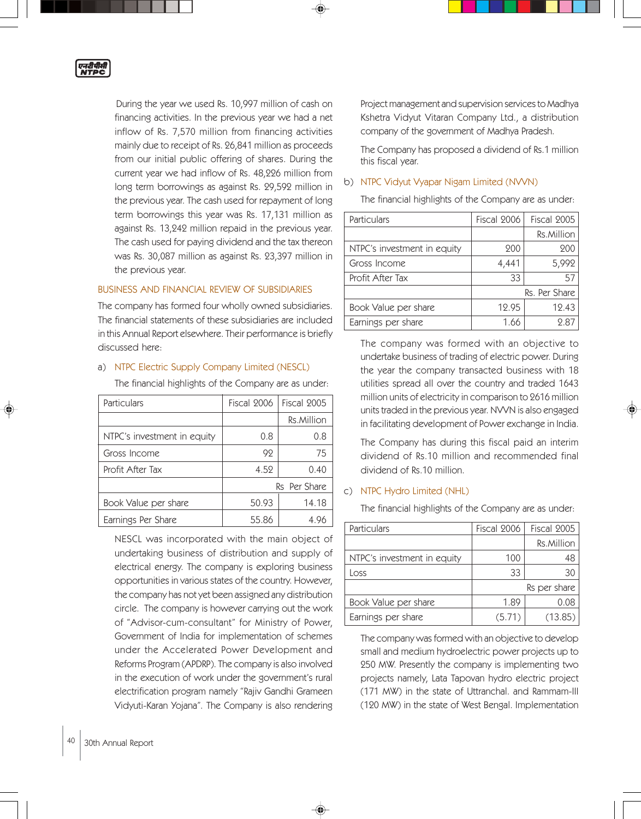

During the year we used Rs. 10,997 million of cash on financing activities. In the previous year we had a net inflow of Rs. 7,570 million from financing activities mainly due to receipt of Rs. 26,841 million as proceeds from our initial public offering of shares. During the current year we had inflow of Rs. 48,226 million from long term borrowings as against Rs. 29,592 million in the previous year. The cash used for repayment of long term borrowings this year was Rs. 17,131 million as against Rs. 13,242 million repaid in the previous year. The cash used for paying dividend and the tax thereon was Rs. 30,087 million as against Rs. 23,397 million in the previous year.

# BUSINESS AND FINANCIAL REVIEW OF SUBSIDIARIES

The company has formed four wholly owned subsidiaries. The financial statements of these subsidiaries are included in this Annual Report elsewhere. Their performance is briefly discussed here:

## a) NTPC Electric Supply Company Limited (NESCL)

The financial highlights of the Company are as under:

| Particulars                 | Fiscal 2006  | Fiscal 2005 |
|-----------------------------|--------------|-------------|
|                             |              | Rs.Million  |
| NTPC's investment in equity | 0.8          | 0.8         |
| Gross Income                | 92           | 75          |
| Profit After Tax            | 4.52         | 0.40        |
|                             | Rs Per Share |             |
| Book Value per share        | 50.93        | 14.18       |
| Earnings Per Share          | 55.86        | 4.96        |

NESCL was incorporated with the main object of undertaking business of distribution and supply of electrical energy. The company is exploring business opportunities in various states of the country. However, the company has not yet been assigned any distribution circle. The company is however carrying out the work of "Advisor-cum-consultant" for Ministry of Power, Government of India for implementation of schemes under the Accelerated Power Development and Reforms Program (APDRP). The company is also involved in the execution of work under the government's rural electrification program namely "Rajiv Gandhi Grameen Vidyuti-Karan Yojana". The Company is also rendering

◈

Project management and supervision services to Madhya Kshetra Vidyut Vitaran Company Ltd., a distribution company of the government of Madhya Pradesh.

The Company has proposed a dividend of Rs.1 million this fiscal year.

## b) NTPC Vidyut Vyapar Nigam Limited (NVVN)

The financial highlights of the Company are as under:

| Particulars                 | Fiscal 2006 | Fiscal 2005       |
|-----------------------------|-------------|-------------------|
|                             |             | <b>Rs.Million</b> |
| NTPC's investment in equity | 200         | 200               |
| Gross Income                | 4,441       | 5,992             |
| Profit After Tax            | 33          | 57                |
|                             |             | Rs. Per Share     |
| Book Value per share        | 12.95       | 12.43             |
| Earnings per share          | 1.66        | 2.87              |

The company was formed with an objective to undertake business of trading of electric power. During the year the company transacted business with 18 utilities spread all over the country and traded 1643 million units of electricity in comparison to 2616 million units traded in the previous year. NVVN is also engaged in facilitating development of Power exchange in India.

The Company has during this fiscal paid an interim dividend of Rs.10 million and recommended final dividend of Rs.10 million.

# c) NTPC Hydro Limited (NHL)

The financial highlights of the Company are as under:

| Particulars                 | Fiscal 2006 | Fiscal 2005  |
|-----------------------------|-------------|--------------|
|                             |             | Rs.Million   |
| NTPC's investment in equity | 100         |              |
| Loss                        | 33          | 30           |
|                             |             | Rs per share |
| Book Value per share        | 1.89        | 0.08         |
| Earnings per share          | (5.71)      | (13.85)      |

The company was formed with an objective to develop small and medium hydroelectric power projects up to 250 MW. Presently the company is implementing two projects namely, Lata Tapovan hydro electric project (171 MW) in the state of Uttranchal. and Rammam-III (120 MW) in the state of West Bengal. Implementation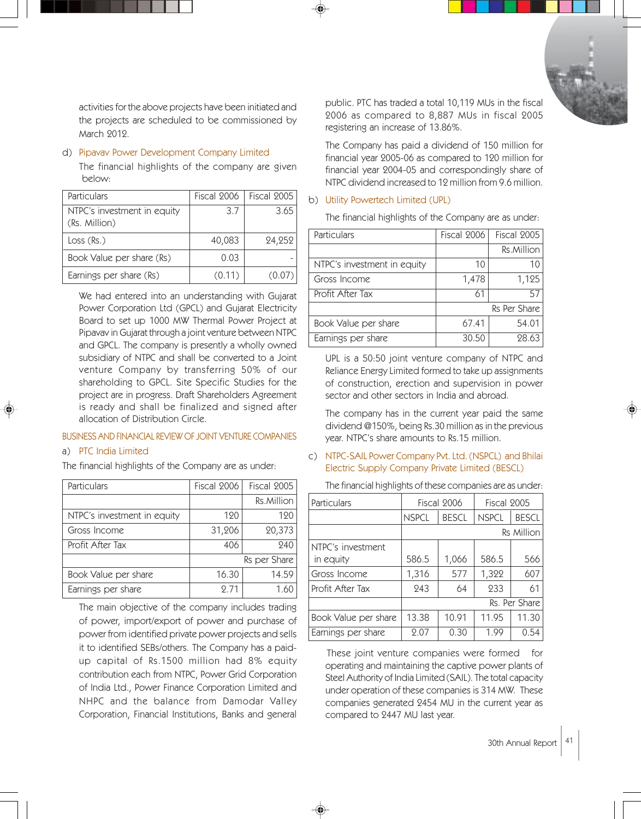activities for the above projects have been initiated and the projects are scheduled to be commissioned by March 2012.

# d) Pipavav Power Development Company Limited

The financial highlights of the company are given below:

| Particulars                                  | Fiscal 2006 | Fiscal 2005 |
|----------------------------------------------|-------------|-------------|
| NTPC's investment in equity<br>(Rs. Million) | 3.7         | 3.65        |
| Loss (Rs.)                                   | 40,083      | 24,252      |
| Book Value per share (Rs)                    | 0.03        |             |
| Earnings per share (Rs)                      | (0.11)      | (0.07)      |

We had entered into an understanding with Gujarat Power Corporation Ltd (GPCL) and Gujarat Electricity Board to set up 1000 MW Thermal Power Project at Pipavav in Gujarat through a joint venture between NTPC and GPCL. The company is presently a wholly owned subsidiary of NTPC and shall be converted to a Joint venture Company by transferring 50% of our shareholding to GPCL. Site Specific Studies for the project are in progress. Draft Shareholders Agreement is ready and shall be finalized and signed after allocation of Distribution Circle.

# BUSINESS AND FINANCIAL REVIEW OF JOINT VENTURE COMPANIES

## a) PTC India Limited

The financial highlights of the Company are as under:

| Particulars                 | Fiscal 2006 | Fiscal 2005       |
|-----------------------------|-------------|-------------------|
|                             |             | <b>Rs.Million</b> |
| NTPC's investment in equity | 120         | 120               |
| Gross Income                | 31,206      | 20,373            |
| Profit After Tax            | 406         | 240               |
|                             |             | Rs per Share      |
| Book Value per share        | 16.30       | 14.59             |
| Earnings per share          | 2.71        | 1.60              |

The main objective of the company includes trading of power, import/export of power and purchase of power from identified private power projects and sells it to identified SEBs/others. The Company has a paidup capital of Rs.1500 million had 8% equity contribution each from NTPC, Power Grid Corporation of India Ltd., Power Finance Corporation Limited and NHPC and the balance from Damodar Valley Corporation, Financial Institutions, Banks and general public. PTC has traded a total 10,119 MUs in the fiscal 2006 as compared to 8,887 MUs in fiscal 2005 registering an increase of 13.86%.

The Company has paid a dividend of 150 million for financial year 2005-06 as compared to 120 million for financial year 2004-05 and correspondingly share of NTPC dividend increased to 12 million from 9.6 million.

## b) Utility Powertech Limited (UPL)

The financial highlights of the Company are as under:

| Particulars                 | Fiscal 2006 | Fiscal 2005  |
|-----------------------------|-------------|--------------|
|                             |             | Rs.Million   |
| NTPC's investment in equity | 10          | 10           |
| Gross Income                | 1,478       | 1,125        |
| Profit After Tax            | 61          | 57           |
|                             |             | Rs Per Share |
| Book Value per share        | 67.41       | 54.01        |
| Earnings per share          | 30.50       | 28.63        |

UPL is a 50:50 joint venture company of NTPC and Reliance Energy Limited formed to take up assignments of construction, erection and supervision in power sector and other sectors in India and abroad.

The company has in the current year paid the same dividend @150%, being Rs.30 million as in the previous year. NTPC's share amounts to Rs.15 million.

# c) NTPC-SAIL Power Company Pvt. Ltd. (NSPCL) and Bhilai Electric Supply Company Private Limited (BESCL)

The financial highlights of these companies are as under:

| Particulars          | Fiscal 2006   |              | Fiscal 2005  |              |
|----------------------|---------------|--------------|--------------|--------------|
|                      | <b>NSPCL</b>  | <b>BESCL</b> | <b>NSPCL</b> | <b>BESCL</b> |
|                      |               |              |              | Rs Million   |
| NTPC's investment    |               |              |              |              |
| in equity            | 586.5         | 1,066        | 586.5        | 566          |
| Gross Income         | 1,316         | 577          | 1,322        | 607          |
| Profit After Tax     | 243           | 64           | 233          | 61           |
|                      | Rs. Per Share |              |              |              |
| Book Value per share | 13.38         | 10.91        | 11.95        | 11.30        |
| Earnings per share   | 2.07          | 0.30         | 1.99         | 0.54         |

These joint venture companies were formed for operating and maintaining the captive power plants of Steel Authority of India Limited (SAIL). The total capacity under operation of these companies is 314 MW. These companies generated 2454 MU in the current year as compared to 2447 MU last year.